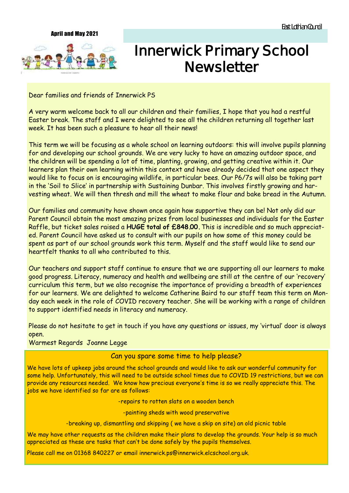#### April and May 2021



# **Innerwick Primary School Newsletter**

Dear families and friends of Innerwick PS

A very warm welcome back to all our children and their families, I hope that you had a restful Easter break. The staff and I were delighted to see all the children returning all together last week. It has been such a pleasure to hear all their news!

This term we will be focusing as a whole school on learning outdoors: this will involve pupils planning for and developing our school grounds. We are very lucky to have an amazing outdoor space, and the children will be spending a lot of time, planting, growing, and getting creative within it. Our learners plan their own learning within this context and have already decided that one aspect they would like to focus on is encouraging wildlife, in particular bees. Our P6/7s will also be taking part in the 'Soil to Slice' in partnership with Sustaining Dunbar. This involves firstly growing and harvesting wheat. We will then thresh and mill the wheat to make flour and bake bread in the Autumn.

Our families and community have shown once again how supportive they can be! Not only did our Parent Council obtain the most amazing prizes from local businesses and individuals for the Easter Raffle, but ticket sales raised a **HUGE total of £848.00.** This is incredible and so much appreciated. Parent Council have asked us to consult with our pupils on how some of this money could be spent as part of our school grounds work this term. Myself and the staff would like to send our heartfelt thanks to all who contributed to this.

Our teachers and support staff continue to ensure that we are supporting all our learners to make good progress. Literacy, numeracy and health and wellbeing are still at the centre of our 'recovery' curriculum this term, but we also recognise the importance of providing a breadth of experiences for our learners. We are delighted to welcome Catherine Baird to our staff team this term on Monday each week in the role of COVID recovery teacher. She will be working with a range of children to support identified needs in literacy and numeracy.

Please do not hesitate to get in touch if you have any questions or issues, my 'virtual' door is always open.

# Warmest Regards Joanne Legge

# Can you spare some time to help please?

We have lots of upkeep jobs around the school grounds and would like to ask our wonderful community for some help. Unfortunately, this will need to be outside school times due to COVID 19 restrictions, but we can provide any resources needed. We know how precious everyone's time is so we really appreciate this. The jobs we have identified so far are as follows:

-repairs to rotten slats on a wooden bench

-painting sheds with wood preservative

-breaking up, dismantling and skipping ( we have a skip on site) an old picnic table

We may have other requests as the children make their plans to develop the grounds. Your help is so much appreciated as these are tasks that can't be done safely by the pupils themselves.

Please call me on 01368 840227 or email innerwick.ps@innerwick.elcschool.org.uk.